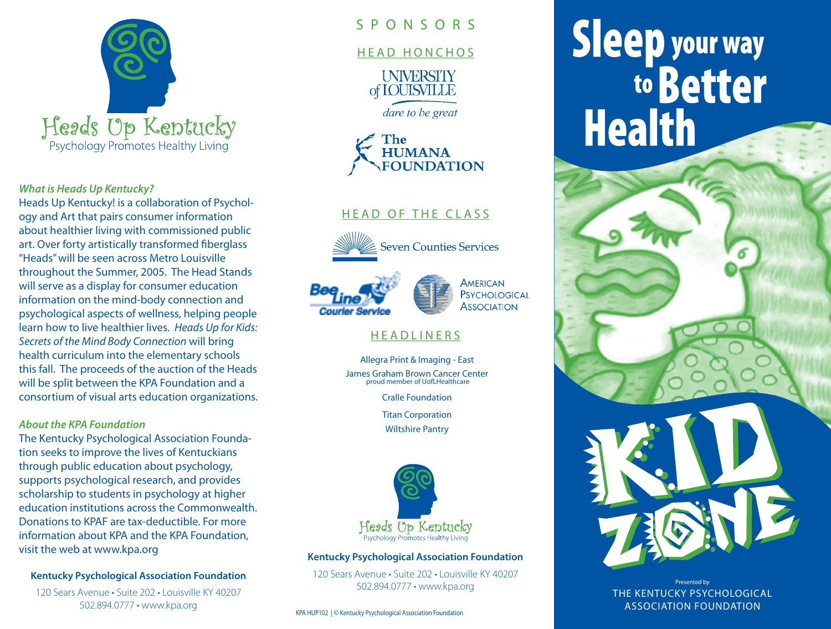

### *What is Heads Up Kentucky?*

Heads Up Kentucky! is a collaboration of Psychology and Art that pairs consumer information about healthier living with commissioned public art. Over forty artistically transformed fiberglass "Heads" will be seen across Metro Louisville throughout the Summer, 2005. The Head Stands will serve as a display for consumer education information on the mind-body connection and psychological aspects of wellness, helping people learn how to live healthier lives. *Heads Up for Kids: Secrets of the Mind Body Connection* will bring health curriculum into the elementary schools this fall. The proceeds of the auction of the Heads will be split between the KPA Foundation and a consortium of visual arts education organizations.

### *About the KPA Foundation*

The Kentucky Psychological Association Foundation seeks to improve the lives of Kentuckians through public education about psychology, supports psychological research, and provides scholarship to students in psychology at higher education institutions across the Commonwealth. Donations to KPAF are tax-deductible. For more information about KPA and the KPA Foundation, visit the web at www.kpa.org

# **Kentucky Psychological Association Foundation**

120 Sears Avenue • Suite 202 • Louisville KY 40207 502.894.0777 • www.kpa.org

# S P O N S O R S

# HEAD HONCHOS

**UNIVERSITY** of **IOUISVILLE** 

dare to be great



# HEAD OF THE CLASS



**Seven Counties Services** 





# **HEADLINERS**

Allegra Print & Imaging - East James Graham Brown Cancer Center proud member of UofLHealthcare

Cralle Foundation

Titan Corporation

Wiltshire Pantry



# **Kentucky Psychological Association Foundation**

120 Sears Avenue • Suite 202 • Louisville KY 40207 502.894.0777 • www.kpa.org

KPA HUP102 | © Kentucky Psychological Association Foundation

# Sleep your way<br>to Better **Health**



Presented by THE KENTUCKY PSYCHOLOGICAL ASSOCIATION FOUNDATION